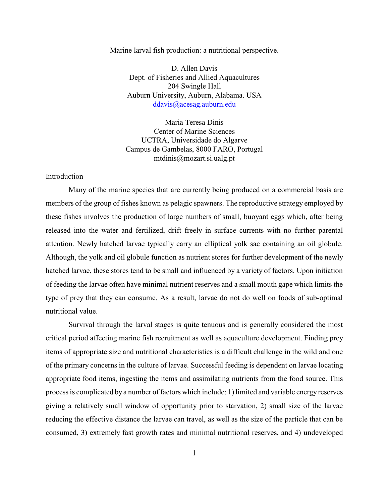Marine larval fish production: a nutritional perspective.

D. Allen Davis Dept. of Fisheries and Allied Aquacultures 204 Swingle Hall Auburn University, Auburn, Alabama. USA [ddavis@acesag.auburn.edu](mailto:ddavis@acesag.auburn.edu)

Maria Teresa Dinis Center of Marine Sciences UCTRA, Universidade do Algarve Campus de Gambelas, 8000 FARO, Portugal mtdinis@mozart.si.ualg.pt

## **Introduction**

Many of the marine species that are currently being produced on a commercial basis are members of the group of fishes known as pelagic spawners. The reproductive strategy employed by these fishes involves the production of large numbers of small, buoyant eggs which, after being released into the water and fertilized, drift freely in surface currents with no further parental attention. Newly hatched larvae typically carry an elliptical yolk sac containing an oil globule. Although, the yolk and oil globule function as nutrient stores for further development of the newly hatched larvae, these stores tend to be small and influenced by a variety of factors. Upon initiation of feeding the larvae often have minimal nutrient reserves and a small mouth gape which limits the type of prey that they can consume. As a result, larvae do not do well on foods of sub-optimal nutritional value.

Survival through the larval stages is quite tenuous and is generally considered the most critical period affecting marine fish recruitment as well as aquaculture development. Finding prey items of appropriate size and nutritional characteristics is a difficult challenge in the wild and one of the primary concerns in the culture of larvae. Successful feeding is dependent on larvae locating appropriate food items, ingesting the items and assimilating nutrients from the food source. This process is complicated by a number of factors which include: 1) limited and variable energy reserves giving a relatively small window of opportunity prior to starvation, 2) small size of the larvae reducing the effective distance the larvae can travel, as well as the size of the particle that can be consumed, 3) extremely fast growth rates and minimal nutritional reserves, and 4) undeveloped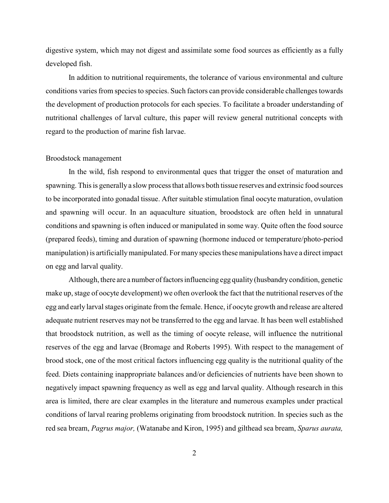digestive system, which may not digest and assimilate some food sources as efficiently as a fully developed fish.

In addition to nutritional requirements, the tolerance of various environmental and culture conditions varies from species to species. Such factors can provide considerable challenges towards the development of production protocols for each species. To facilitate a broader understanding of nutritional challenges of larval culture, this paper will review general nutritional concepts with regard to the production of marine fish larvae.

## Broodstock management

In the wild, fish respond to environmental ques that trigger the onset of maturation and spawning. This is generally a slow process that allows both tissue reserves and extrinsic food sources to be incorporated into gonadal tissue. After suitable stimulation final oocyte maturation, ovulation and spawning will occur. In an aquaculture situation, broodstock are often held in unnatural conditions and spawning is often induced or manipulated in some way. Quite often the food source (prepared feeds), timing and duration of spawning (hormone induced or temperature/photo-period manipulation) is artificiallymanipulated. Formany species these manipulations have a direct impact on egg and larval quality.

Although, there are a number of factors influencing egg quality (husbandry condition, genetic make up, stage of oocyte development) we often overlook the fact that the nutritional reserves of the egg and early larval stages originate from the female. Hence, if oocyte growth and release are altered adequate nutrient reserves may not be transferred to the egg and larvae. It has been well established that broodstock nutrition, as well as the timing of oocyte release, will influence the nutritional reserves of the egg and larvae (Bromage and Roberts 1995). With respect to the management of brood stock, one of the most critical factors influencing egg quality is the nutritional quality of the feed. Diets containing inappropriate balances and/or deficiencies of nutrients have been shown to negatively impact spawning frequency as well as egg and larval quality. Although research in this area is limited, there are clear examples in the literature and numerous examples under practical conditions of larval rearing problems originating from broodstock nutrition. In species such as the red sea bream, *Pagrus major,* (Watanabe and Kiron, 1995) and gilthead sea bream, *Sparus aurata,*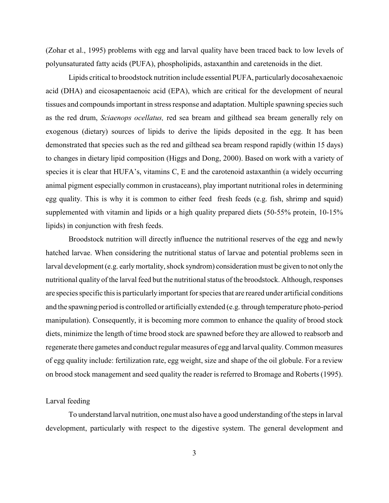(Zohar et al., 1995) problems with egg and larval quality have been traced back to low levels of polyunsaturated fatty acids (PUFA), phospholipids, astaxanthin and caretenoids in the diet.

Lipids critical to broodstock nutrition include essential PUFA, particularly docosahexaenoic acid (DHA) and eicosapentaenoic acid (EPA), which are critical for the development of neural tissues and compounds important in stress response and adaptation. Multiple spawning species such as the red drum, *Sciaenops ocellatus,* red sea bream and gilthead sea bream generally rely on exogenous (dietary) sources of lipids to derive the lipids deposited in the egg. It has been demonstrated that species such as the red and gilthead sea bream respond rapidly (within 15 days) to changes in dietary lipid composition (Higgs and Dong, 2000). Based on work with a variety of species it is clear that HUFA's, vitamins C, E and the carotenoid astaxanthin (a widely occurring animal pigment especially common in crustaceans), play important nutritional roles in determining egg quality. This is why it is common to either feed fresh feeds (e.g. fish, shrimp and squid) supplemented with vitamin and lipids or a high quality prepared diets (50-55% protein, 10-15% lipids) in conjunction with fresh feeds.

Broodstock nutrition will directly influence the nutritional reserves of the egg and newly hatched larvae. When considering the nutritional status of larvae and potential problems seen in larval development (e.g. earlymortality, shock syndrom) consideration must be given to not only the nutritional quality of the larval feed but the nutritional status of the broodstock. Although, responses are species specific this is particularlyimportant for species that are reared under artificial conditions and the spawning period is controlled or artificially extended (e.g. through temperature photo-period manipulation). Consequently, it is becoming more common to enhance the quality of brood stock diets, minimize the length of time brood stock are spawned before they are allowed to reabsorb and regenerate there gametes and conduct regular measures of egg and larval quality. Common measures of egg quality include: fertilization rate, egg weight, size and shape of the oil globule. For a review on brood stock management and seed quality the reader is referred to Bromage and Roberts (1995).

#### Larval feeding

To understand larval nutrition, one must also have a good understanding of the steps in larval development, particularly with respect to the digestive system. The general development and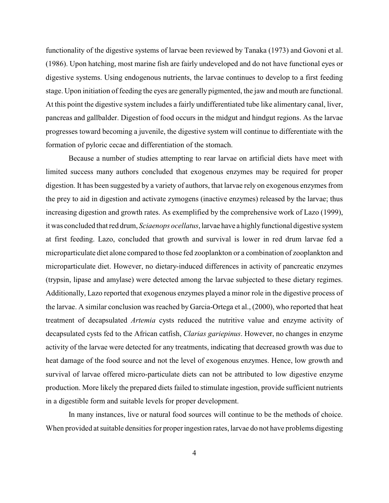functionality of the digestive systems of larvae been reviewed by Tanaka (1973) and Govoni et al. (1986). Upon hatching, most marine fish are fairly undeveloped and do not have functional eyes or digestive systems. Using endogenous nutrients, the larvae continues to develop to a first feeding stage. Upon initiation of feeding the eyes are generally pigmented, the jaw and mouth are functional. At this point the digestive system includes a fairly undifferentiated tube like alimentary canal, liver, pancreas and gallbalder. Digestion of food occurs in the midgut and hindgut regions. As the larvae progresses toward becoming a juvenile, the digestive system will continue to differentiate with the formation of pyloric cecae and differentiation of the stomach.

Because a number of studies attempting to rear larvae on artificial diets have meet with limited success many authors concluded that exogenous enzymes may be required for proper digestion. It has been suggested by a variety of authors, that larvae rely on exogenous enzymes from the prey to aid in digestion and activate zymogens (inactive enzymes) released by the larvae; thus increasing digestion and growth rates. As exemplified by the comprehensive work of Lazo (1999), it was concluded that red drum, *Sciaenops ocellatus*, larvae have a highlyfunctional digestive system at first feeding. Lazo, concluded that growth and survival is lower in red drum larvae fed a microparticulate diet alone compared to those fed zooplankton or a combination of zooplankton and microparticulate diet. However, no dietary-induced differences in activity of pancreatic enzymes (trypsin, lipase and amylase) were detected among the larvae subjected to these dietary regimes. Additionally, Lazo reported that exogenous enzymes played a minor role in the digestive process of the larvae. A similar conclusion was reached by Garcia-Ortega et al., (2000), who reported that heat treatment of decapsulated *Artemia* cysts reduced the nutritive value and enzyme activity of decapsulated cysts fed to the African catfish, *Clarias gariepinus*. However, no changes in enzyme activity of the larvae were detected for any treatments, indicating that decreased growth was due to heat damage of the food source and not the level of exogenous enzymes. Hence, low growth and survival of larvae offered micro-particulate diets can not be attributed to low digestive enzyme production. More likely the prepared diets failed to stimulate ingestion, provide sufficient nutrients in a digestible form and suitable levels for proper development.

In many instances, live or natural food sources will continue to be the methods of choice. When provided at suitable densities for proper ingestion rates, larvae do not have problems digesting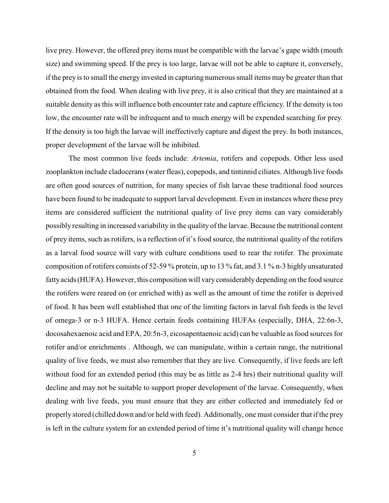live prey. However, the offered prey items must be compatible with the larvae's gape width (mouth size) and swimming speed. If the prey is too large, larvae will not be able to capture it, conversely, if the prey is to small the energy invested in capturing numerous small items may be greater than that obtained from the food. When dealing with live prey, it is also critical that they are maintained at a suitable density as this will influence both encounter rate and capture efficiency. If the density is too low, the encounter rate will be infrequent and to much energy will be expended searching for prey. If the density is too high the larvae will ineffectively capture and digest the prey. In both instances, proper development of the larvae will be inhibited.

The most common live feeds include: *Artemia*, rotifers and copepods. Other less used zooplankton include cladocerans (water fleas), copepods, and tintinnid ciliates. Although live foods are often good sources of nutrition, for many species of fish larvae these traditional food sources have been found to be inadequate to support larval development. Even in instances where these prey items are considered sufficient the nutritional quality of live prey items can vary considerably possibly resulting in increased variability in the quality of the larvae. Because the nutritional content of prey items, such as rotifers, is a reflection of it's food source, the nutritional quality of the rotifers as a larval food source will vary with culture conditions used to rear the rotifer. The proximate composition of rotifers consists of 52-59 % protein, up to 13 % fat, and 3.1 % n-3 highly unsaturated fattyacids (HUFA). However, this composition will varyconsiderably depending on the food source the rotifers were reared on (or enriched with) as well as the amount of time the rotifer is deprived of food. It has been well established that one of the limiting factors in larval fish feeds is the level of omega-3 or n-3 HUFA. Hence certain feeds containing HUFAs (especially, DHA, 22:6n-3, docosahexaenoic acid and EPA, 20:5n-3, eicosapentaenoic acid) can be valuable as food sources for rotifer and/or enrichments . Although, we can manipulate, within a certain range, the nutritional quality of live feeds, we must also remember that they are live. Consequently, if live feeds are left without food for an extended period (this may be as little as 2-4 hrs) their nutritional quality will decline and may not be suitable to support proper development of the larvae. Consequently, when dealing with live feeds, you must ensure that they are either collected and immediately fed or properly stored (chilled down and/or held with feed). Additionally, one must consider that if the prey is left in the culture system for an extended period of time it's nutritional quality will change hence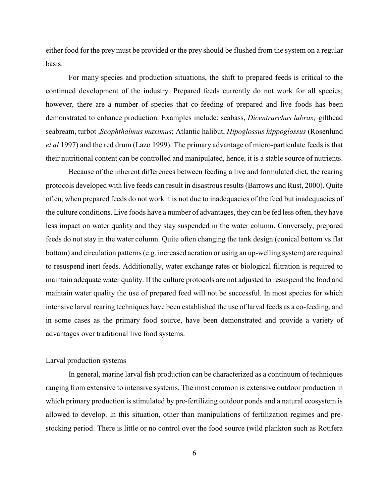either food for the prey must be provided or the prey should be flushed from the system on a regular basis.

For many species and production situations, the shift to prepared feeds is critical to the continued development of the industry. Prepared feeds currently do not work for all species; however, there are a number of species that co-feeding of prepared and live foods has been demonstrated to enhance production. Examples include: seabass, *Dicentrarchus labrax;* gilthead seabream, turbot ,*Scophthalmus maximus*; Atlantic halibut, *Hipoglossus hippoglossus* (Rosenlund *et al* 1997) and the red drum (Lazo 1999). The primary advantage of micro-particulate feeds is that their nutritional content can be controlled and manipulated, hence, it is a stable source of nutrients.

Because of the inherent differences between feeding a live and formulated diet, the rearing protocols developed with live feeds can result in disastrous results (Barrows and Rust, 2000). Quite often, when prepared feeds do not work it is not due to inadequacies of the feed but inadequacies of the culture conditions. Live foods have a number of advantages, they can be fed less often, they have less impact on water quality and they stay suspended in the water column. Conversely, prepared feeds do not stay in the water column. Quite often changing the tank design (conical bottom vs flat bottom) and circulation patterns (e.g. increased aeration or using an up-welling system) are required to resuspend inert feeds. Additionally, water exchange rates or biological filtration is required to maintain adequate water quality. If the culture protocols are not adjusted to resuspend the food and maintain water quality the use of prepared feed will not be successful. In most species for which intensive larval rearing techniques have been established the use of larval feeds as a co-feeding, and in some cases as the primary food source, have been demonstrated and provide a variety of advantages over traditional live food systems.

#### Larval production systems

In general, marine larval fish production can be characterized as a continuum of techniques ranging from extensive to intensive systems. The most common is extensive outdoor production in which primary production is stimulated by pre-fertilizing outdoor ponds and a natural ecosystem is allowed to develop. In this situation, other than manipulations of fertilization regimes and prestocking period. There is little or no control over the food source (wild plankton such as Rotifera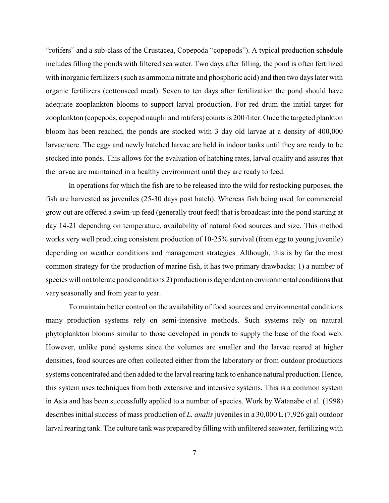"rotifers" and a sub-class of the Crustacea, Copepoda "copepods"). A typical production schedule includes filling the ponds with filtered sea water. Two days after filling, the pond is often fertilized with inorganic fertilizers (such as ammonia nitrate and phosphoric acid) and then two days later with organic fertilizers (cottonseed meal). Seven to ten days after fertilization the pond should have adequate zooplankton blooms to support larval production. For red drum the initial target for zooplankton (copepods, copepod nauplii and rotifers) counts is 200 /liter. Once the targeted plankton bloom has been reached, the ponds are stocked with 3 day old larvae at a density of 400,000 larvae/acre. The eggs and newly hatched larvae are held in indoor tanks until they are ready to be stocked into ponds. This allows for the evaluation of hatching rates, larval quality and assures that the larvae are maintained in a healthy environment until they are ready to feed.

In operations for which the fish are to be released into the wild for restocking purposes, the fish are harvested as juveniles (25-30 days post hatch). Whereas fish being used for commercial grow out are offered a swim-up feed (generally trout feed) that is broadcast into the pond starting at day 14-21 depending on temperature, availability of natural food sources and size. This method works very well producing consistent production of 10-25% survival (from egg to young juvenile) depending on weather conditions and management strategies. Although, this is by far the most common strategy for the production of marine fish, it has two primary drawbacks: 1) a number of species will not tolerate pond conditions 2) production is dependent on environmental conditions that vary seasonally and from year to year.

To maintain better control on the availability of food sources and environmental conditions many production systems rely on semi-intensive methods. Such systems rely on natural phytoplankton blooms similar to those developed in ponds to supply the base of the food web. However, unlike pond systems since the volumes are smaller and the larvae reared at higher densities, food sources are often collected either from the laboratory or from outdoor productions systems concentrated and then added to the larval rearing tank to enhance natural production. Hence, this system uses techniques from both extensive and intensive systems. This is a common system in Asia and has been successfully applied to a number of species. Work by Watanabe et al. (1998) describes initial success of mass production of *L. analis* juveniles in a 30,000 L (7,926 gal) outdoor larval rearing tank. The culture tank was prepared by filling with unfiltered seawater, fertilizing with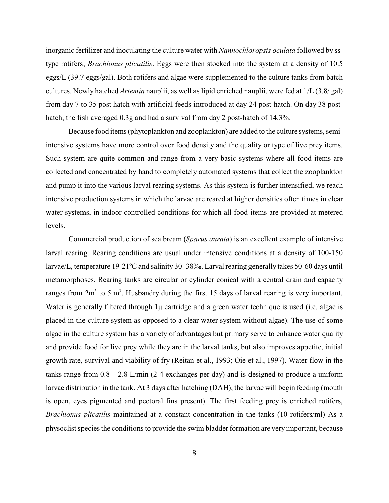inorganic fertilizer and inoculating the culture water with *Nannochloropsis oculata* followed by sstype rotifers, *Brachionus plicatilis*. Eggs were then stocked into the system at a density of 10.5 eggs/L (39.7 eggs/gal). Both rotifers and algae were supplemented to the culture tanks from batch cultures. Newly hatched *Artemia* nauplii, as well as lipid enriched nauplii, were fed at 1/L (3.8/ gal) from day 7 to 35 post hatch with artificial feeds introduced at day 24 post-hatch. On day 38 posthatch, the fish averaged 0.3g and had a survival from day 2 post-hatch of 14.3%.

Because food items (phytoplankton and zooplankton) are added to the culture systems, semiintensive systems have more control over food density and the quality or type of live prey items. Such system are quite common and range from a very basic systems where all food items are collected and concentrated by hand to completely automated systems that collect the zooplankton and pump it into the various larval rearing systems. As this system is further intensified, we reach intensive production systems in which the larvae are reared at higher densities often times in clear water systems, in indoor controlled conditions for which all food items are provided at metered levels.

Commercial production of sea bream (*Sparus aurata*) is an excellent example of intensive larval rearing. Rearing conditions are usual under intensive conditions at a density of 100-150 larvae/L, temperature 19-21ºC and salinity 30- 38‰. Larval rearing generally takes 50-60 days until metamorphoses. Rearing tanks are circular or cylinder conical with a central drain and capacity ranges from  $2m<sup>3</sup>$  to 5 m<sup>3</sup>. Husbandry during the first 15 days of larval rearing is very important. Water is generally filtered through  $1\mu$  cartridge and a green water technique is used (i.e. algae is placed in the culture system as opposed to a clear water system without algae). The use of some algae in the culture system has a variety of advantages but primary serve to enhance water quality and provide food for live prey while they are in the larval tanks, but also improves appetite, initial growth rate, survival and viability of fry (Reitan et al., 1993; Oie et al., 1997). Water flow in the tanks range from  $0.8 - 2.8$  L/min (2-4 exchanges per day) and is designed to produce a uniform larvae distribution in the tank. At 3 days after hatching (DAH), the larvae will begin feeding (mouth is open, eyes pigmented and pectoral fins present). The first feeding prey is enriched rotifers, *Brachionus plicatilis* maintained at a constant concentration in the tanks (10 rotifers/ml) As a physoclist species the conditions to provide the swim bladder formation are very important, because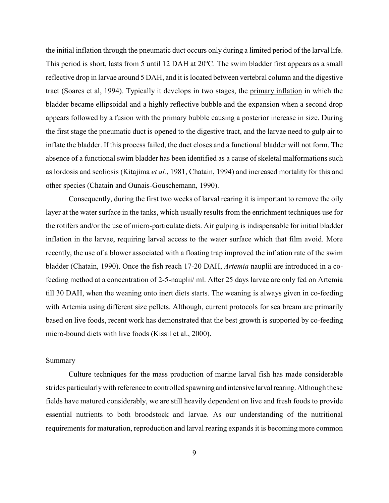the initial inflation through the pneumatic duct occurs only during a limited period of the larval life. This period is short, lasts from 5 until 12 DAH at 20ºC. The swim bladder first appears as a small reflective drop in larvae around 5 DAH, and it is located between vertebral column and the digestive tract (Soares et al, 1994). Typically it develops in two stages, the primary inflation in which the bladder became ellipsoidal and a highly reflective bubble and the expansion when a second drop appears followed by a fusion with the primary bubble causing a posterior increase in size. During the first stage the pneumatic duct is opened to the digestive tract, and the larvae need to gulp air to inflate the bladder. If this process failed, the duct closes and a functional bladder will not form. The absence of a functional swim bladder has been identified as a cause of skeletal malformations such as lordosis and scoliosis (Kitajima *et al.*, 1981, Chatain, 1994) and increased mortality for this and other species (Chatain and Ounais-Gouschemann, 1990).

Consequently, during the first two weeks of larval rearing it is important to remove the oily layer at the water surface in the tanks, which usually results from the enrichment techniques use for the rotifers and/or the use of micro-particulate diets. Air gulping is indispensable for initial bladder inflation in the larvae, requiring larval access to the water surface which that film avoid. More recently, the use of a blower associated with a floating trap improved the inflation rate of the swim bladder (Chatain, 1990). Once the fish reach 17-20 DAH, *Artemia* nauplii are introduced in a cofeeding method at a concentration of 2-5-nauplii/ ml. After 25 days larvae are only fed on Artemia till 30 DAH, when the weaning onto inert diets starts. The weaning is always given in co-feeding with Artemia using different size pellets. Although, current protocols for sea bream are primarily based on live foods, recent work has demonstrated that the best growth is supported by co-feeding micro-bound diets with live foods (Kissil et al., 2000).

## Summary

Culture techniques for the mass production of marine larval fish has made considerable strides particularly with reference to controlled spawning and intensive larval rearing. Although these fields have matured considerably, we are still heavily dependent on live and fresh foods to provide essential nutrients to both broodstock and larvae. As our understanding of the nutritional requirements for maturation, reproduction and larval rearing expands it is becoming more common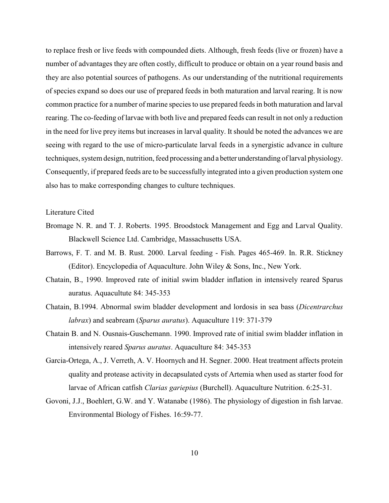to replace fresh or live feeds with compounded diets. Although, fresh feeds (live or frozen) have a number of advantages they are often costly, difficult to produce or obtain on a year round basis and they are also potential sources of pathogens. As our understanding of the nutritional requirements of species expand so does our use of prepared feeds in both maturation and larval rearing. It is now common practice for a number of marine species to use prepared feeds in both maturation and larval rearing. The co-feeding of larvae with both live and prepared feeds can result in not only a reduction in the need for live prey items but increases in larval quality. It should be noted the advances we are seeing with regard to the use of micro-particulate larval feeds in a synergistic advance in culture techniques, system design, nutrition, feed processing and a better understanding of larval physiology. Consequently, if prepared feeds are to be successfully integrated into a given production system one also has to make corresponding changes to culture techniques.

# Literature Cited

- Bromage N. R. and T. J. Roberts. 1995. Broodstock Management and Egg and Larval Quality. Blackwell Science Ltd. Cambridge, Massachusetts USA.
- Barrows, F. T. and M. B. Rust. 2000. Larval feeding Fish. Pages 465-469. In. R.R. Stickney (Editor). Encyclopedia of Aquaculture. John Wiley & Sons, Inc., New York.
- Chatain, B., 1990. Improved rate of initial swim bladder inflation in intensively reared Sparus auratus. Aquacultute 84: 345-353
- Chatain, B.1994. Abnormal swim bladder development and lordosis in sea bass (*Dicentrarchus labrax*) and seabream (*Sparus auratus*). Aquaculture 119: 371-379
- Chatain B. and N. Ousnais-Guschemann. 1990. Improved rate of initial swim bladder inflation in intensively reared *Sparus auratus*. Aquaculture 84: 345-353
- Garcia-Ortega, A., J. Verreth, A. V. Hoornych and H. Segner. 2000. Heat treatment affects protein quality and protease activity in decapsulated cysts of Artemia when used as starter food for larvae of African catfish *Clarias gariepius* (Burchell). Aquaculture Nutrition. 6:25-31.
- Govoni, J.J., Boehlert, G.W. and Y. Watanabe (1986). The physiology of digestion in fish larvae. Environmental Biology of Fishes. 16:59-77.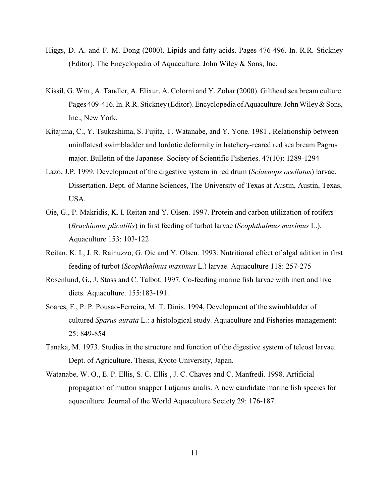- Higgs, D. A. and F. M. Dong (2000). Lipids and fatty acids. Pages 476-496. In. R.R. Stickney (Editor). The Encyclopedia of Aquaculture. John Wiley & Sons, Inc.
- Kissil, G. Wm., A. Tandler, A. Elixur, A. Colorni and Y. Zohar (2000). Gilthead sea bream culture. Pages 409-416. In. R.R. Stickney (Editor). Encyclopedia of Aquaculture. John Wiley & Sons, Inc., New York.
- Kitajima, C., Y. Tsukashima, S. Fujita, T. Watanabe, and Y. Yone. 1981 , Relationship between uninflatesd swimbladder and lordotic deformity in hatchery-reared red sea bream Pagrus major. Bulletin of the Japanese. Society of Scientific Fisheries. 47(10): 1289-1294
- Lazo, J.P. 1999. Development of the digestive system in red drum (*Sciaenops ocellatus*) larvae. Dissertation. Dept. of Marine Sciences, The University of Texas at Austin, Austin, Texas, USA.
- Oie, G., P. Makridis, K. I. Reitan and Y. Olsen. 1997. Protein and carbon utilization of rotifers (*Brachionus plicatilis*) in first feeding of turbot larvae (*Scophthalmus maximus* L.). Aquaculture 153: 103-122
- Reitan, K. I., J. R. Rainuzzo, G. Oie and Y. Olsen. 1993. Nutritional effect of algal adition in first feeding of turbot (*Scophthalmus maximus* L.) larvae. Aquaculture 118: 257-275
- Rosenlund, G., J. Stoss and C. Talbot. 1997. Co-feeding marine fish larvae with inert and live diets. Aquaculture. 155:183-191.
- Soares, F., P. P. Pousao-Ferreira, M. T. Dinis. 1994, Development of the swimbladder of cultured *Sparus aurata* L.: a histological study. Aquaculture and Fisheries management: 25: 849-854
- Tanaka, M. 1973. Studies in the structure and function of the digestive system of teleost larvae. Dept. of Agriculture. Thesis, Kyoto University, Japan.
- Watanabe, W. O., E. P. Ellis, S. C. Ellis , J. C. Chaves and C. Manfredi. 1998. Artificial propagation of mutton snapper Lutjanus analis. A new candidate marine fish species for aquaculture. Journal of the World Aquaculture Society 29: 176-187.